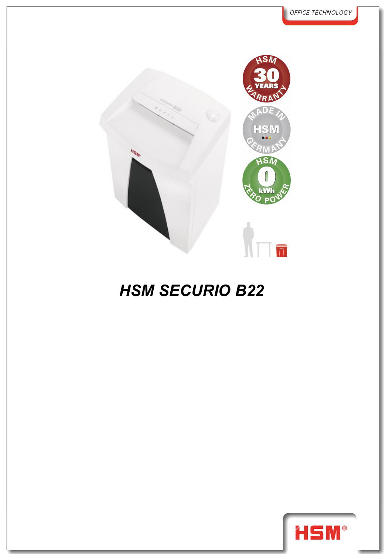

## *HSM SECURIO B22*

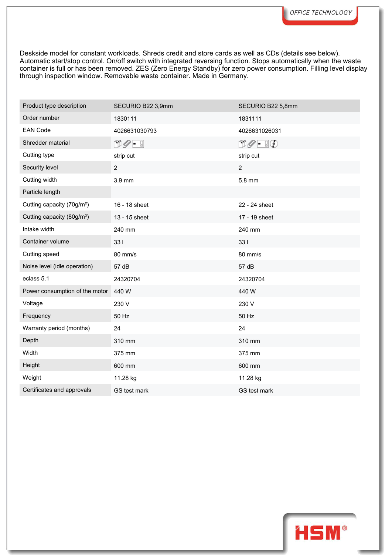Deskside model for constant workloads. Shreds credit and store cards as well as CDs (details see below). Automatic start/stop control. On/off switch with integrated reversing function. Stops automatically when the waste container is full or has been removed. ZES (Zero Energy Standby) for zero power consumption. Filling level display through inspection window. Removable waste container. Made in Germany.

| Product type description               | SECURIO B22 3,9mm                      | SECURIO B22 5,8mm             |
|----------------------------------------|----------------------------------------|-------------------------------|
| Order number                           | 1830111                                | 1831111                       |
| <b>EAN Code</b>                        | 4026631030793                          | 4026631026031                 |
| Shredder material                      | $\mathbb{D}\mathscr{O}$ - $\mathbb{I}$ | $\Box \oslash - \Box \oslash$ |
| Cutting type                           | strip cut                              | strip cut                     |
| Security level                         | $\overline{2}$                         | $\overline{2}$                |
| Cutting width                          | 3.9 mm                                 | 5.8 mm                        |
| Particle length                        |                                        |                               |
| Cutting capacity (70g/m <sup>2</sup> ) | 16 - 18 sheet                          | 22 - 24 sheet                 |
| Cutting capacity (80g/m <sup>2</sup> ) | 13 - 15 sheet                          | 17 - 19 sheet                 |
| Intake width                           | 240 mm                                 | 240 mm                        |
| Container volume                       | 331                                    | 331                           |
| Cutting speed                          | 80 mm/s                                | 80 mm/s                       |
| Noise level (idle operation)           | 57 dB                                  | 57 dB                         |
| eclass 5.1                             | 24320704                               | 24320704                      |
| Power consumption of the motor         | 440 W                                  | 440 W                         |
| Voltage                                | 230 V                                  | 230 V                         |
| Frequency                              | 50 Hz                                  | 50 Hz                         |
| Warranty period (months)               | 24                                     | 24                            |
| Depth                                  | 310 mm                                 | 310 mm                        |
| Width                                  | 375 mm                                 | 375 mm                        |
| Height                                 | 600 mm                                 | 600 mm                        |
| Weight                                 | 11.28 kg                               | 11.28 kg                      |
| Certificates and approvals             | GS test mark                           | GS test mark                  |